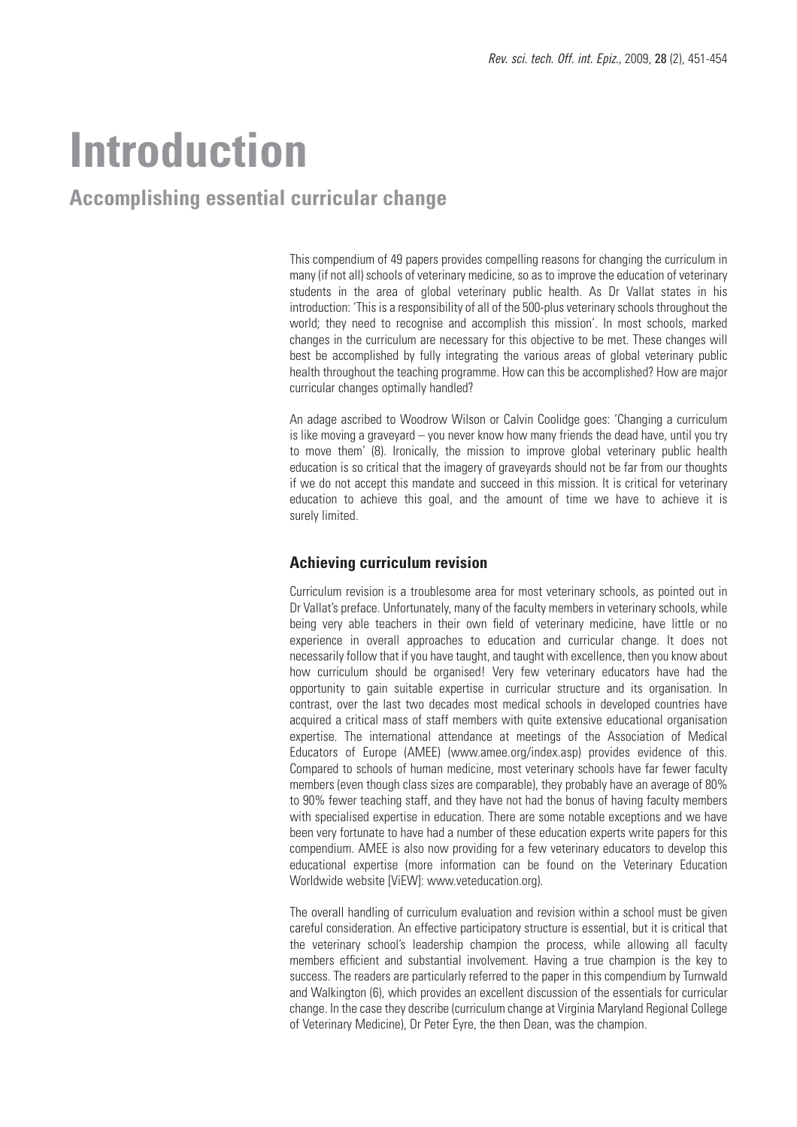# **Introduction**

### **Accomplishing essential curricular change**

This compendium of 49 papers provides compelling reasons for changing the curriculum in many (if not all) schools of veterinary medicine, so as to improve the education of veterinary students in the area of global veterinary public health. As Dr Vallat states in his introduction: 'This is a responsibility of all of the 500-plus veterinary schools throughout the world; they need to recognise and accomplish this mission'. In most schools, marked changes in the curriculum are necessary for this objective to be met. These changes will best be accomplished by fully integrating the various areas of global veterinary public health throughout the teaching programme. How can this be accomplished? How are major curricular changes optimally handled?

An adage ascribed to Woodrow Wilson or Calvin Coolidge goes: 'Changing a curriculum is like moving a graveyard – you never know how many friends the dead have, until you try to move them' (8). Ironically, the mission to improve global veterinary public health education is so critical that the imagery of graveyards should not be far from our thoughts if we do not accept this mandate and succeed in this mission. It is critical for veterinary education to achieve this goal, and the amount of time we have to achieve it is surely limited.

#### **Achieving curriculum revision**

Curriculum revision is a troublesome area for most veterinary schools, as pointed out in Dr Vallat's preface. Unfortunately, many of the faculty members in veterinary schools, while being very able teachers in their own field of veterinary medicine, have little or no experience in overall approaches to education and curricular change. It does not necessarily follow that if you have taught, and taught with excellence, then you know about how curriculum should be organised! Very few veterinary educators have had the opportunity to gain suitable expertise in curricular structure and its organisation. In contrast, over the last two decades most medical schools in developed countries have acquired a critical mass of staff members with quite extensive educational organisation expertise. The international attendance at meetings of the Association of Medical Educators of Europe (AMEE) (www.amee.org/index.asp) provides evidence of this. Compared to schools of human medicine, most veterinary schools have far fewer faculty members (even though class sizes are comparable), they probably have an average of 80% to 90% fewer teaching staff, and they have not had the bonus of having faculty members with specialised expertise in education. There are some notable exceptions and we have been very fortunate to have had a number of these education experts write papers for this compendium. AMEE is also now providing for a few veterinary educators to develop this educational expertise (more information can be found on the Veterinary Education Worldwide website [ViEW]: www.veteducation.org).

The overall handling of curriculum evaluation and revision within a school must be given careful consideration. An effective participatory structure is essential, but it is critical that the veterinary school's leadership champion the process, while allowing all faculty members efficient and substantial involvement. Having a true champion is the key to success. The readers are particularly referred to the paper in this compendium by Turnwald and Walkington (6), which provides an excellent discussion of the essentials for curricular change. In the case they describe (curriculum change at Virginia Maryland Regional College of Veterinary Medicine), Dr Peter Eyre, the then Dean, was the champion.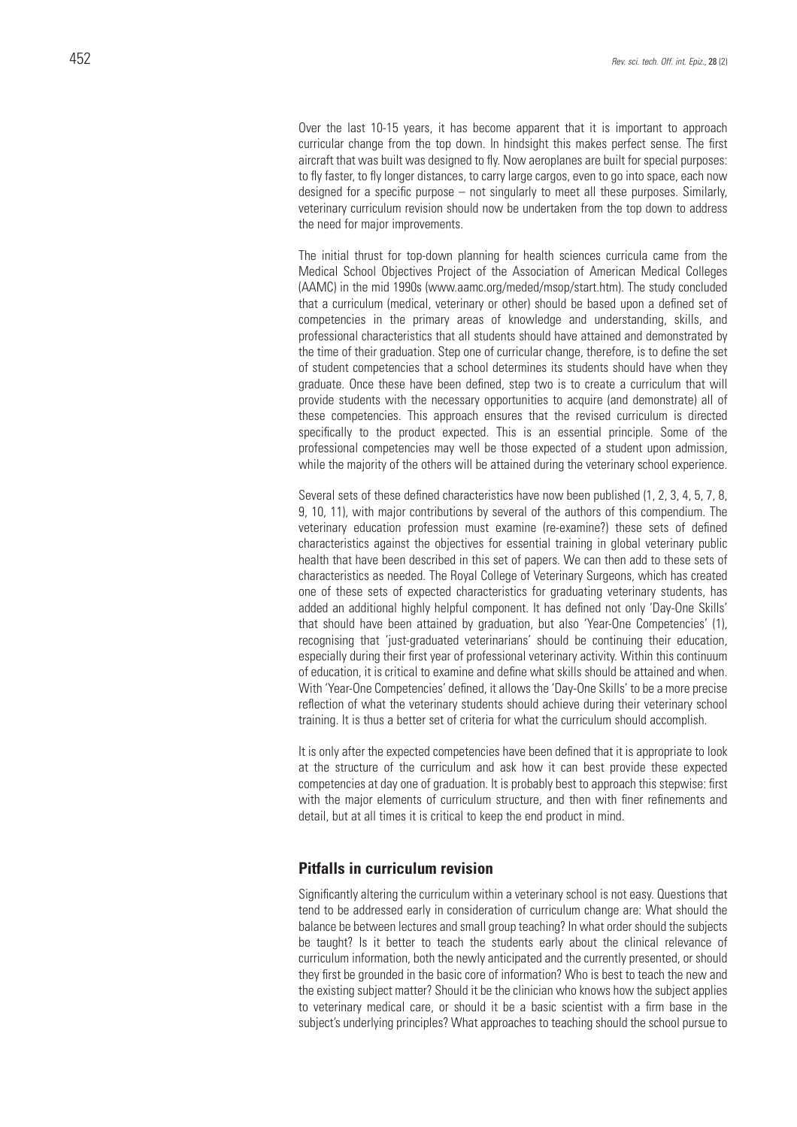Over the last 10-15 years, it has become apparent that it is important to approach curricular change from the top down. In hindsight this makes perfect sense. The first aircraft that was built was designed to fly. Now aeroplanes are built for special purposes: to fly faster, to fly longer distances, to carry large cargos, even to go into space, each now designed for a specific purpose – not singularly to meet all these purposes. Similarly, veterinary curriculum revision should now be undertaken from the top down to address the need for major improvements.

The initial thrust for top-down planning for health sciences curricula came from the Medical School Objectives Project of the Association of American Medical Colleges (AAMC) in the mid 1990s (www.aamc.org/meded/msop/start.htm). The study concluded that a curriculum (medical, veterinary or other) should be based upon a defined set of competencies in the primary areas of knowledge and understanding, skills, and professional characteristics that all students should have attained and demonstrated by the time of their graduation. Step one of curricular change, therefore, is to define the set of student competencies that a school determines its students should have when they graduate. Once these have been defined, step two is to create a curriculum that will provide students with the necessary opportunities to acquire (and demonstrate) all of these competencies. This approach ensures that the revised curriculum is directed specifically to the product expected. This is an essential principle. Some of the professional competencies may well be those expected of a student upon admission, while the majority of the others will be attained during the veterinary school experience.

Several sets of these defined characteristics have now been published (1, 2, 3, 4, 5, 7, 8, 9, 10, 11), with major contributions by several of the authors of this compendium. The veterinary education profession must examine (re-examine?) these sets of defined characteristics against the objectives for essential training in global veterinary public health that have been described in this set of papers. We can then add to these sets of characteristics as needed. The Royal College of Veterinary Surgeons, which has created one of these sets of expected characteristics for graduating veterinary students, has added an additional highly helpful component. It has defined not only 'Day-One Skills' that should have been attained by graduation, but also 'Year-One Competencies' (1), recognising that 'just-graduated veterinarians' should be continuing their education, especially during their first year of professional veterinary activity. Within this continuum of education, it is critical to examine and define what skills should be attained and when. With 'Year-One Competencies' defined, it allows the 'Day-One Skills' to be a more precise reflection of what the veterinary students should achieve during their veterinary school training. It is thus a better set of criteria for what the curriculum should accomplish.

It is only after the expected competencies have been defined that it is appropriate to look at the structure of the curriculum and ask how it can best provide these expected competencies at day one of graduation. It is probably best to approach this stepwise: first with the major elements of curriculum structure, and then with finer refinements and detail, but at all times it is critical to keep the end product in mind.

#### **Pitfalls in curriculum revision**

Significantly altering the curriculum within a veterinary school is not easy. Questions that tend to be addressed early in consideration of curriculum change are: What should the balance be between lectures and small group teaching? In what order should the subjects be taught? Is it better to teach the students early about the clinical relevance of curriculum information, both the newly anticipated and the currently presented, or should they first be grounded in the basic core of information? Who is best to teach the new and the existing subject matter? Should it be the clinician who knows how the subject applies to veterinary medical care, or should it be a basic scientist with a firm base in the subject's underlying principles? What approaches to teaching should the school pursue to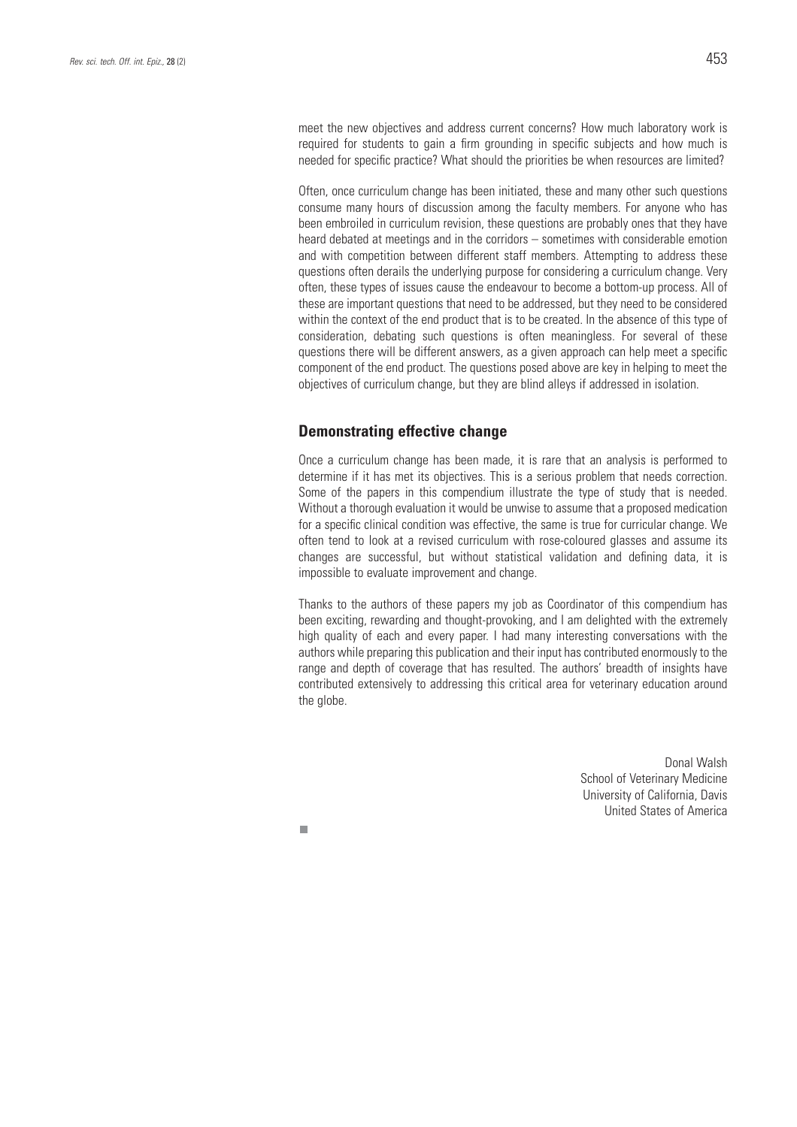meet the new objectives and address current concerns? How much laboratory work is required for students to gain a firm grounding in specific subjects and how much is needed for specific practice? What should the priorities be when resources are limited?

Often, once curriculum change has been initiated, these and many other such questions consume many hours of discussion among the faculty members. For anyone who has been embroiled in curriculum revision, these questions are probably ones that they have heard debated at meetings and in the corridors – sometimes with considerable emotion and with competition between different staff members. Attempting to address these questions often derails the underlying purpose for considering a curriculum change. Very often, these types of issues cause the endeavour to become a bottom-up process. All of these are important questions that need to be addressed, but they need to be considered within the context of the end product that is to be created. In the absence of this type of consideration, debating such questions is often meaningless. For several of these questions there will be different answers, as a given approach can help meet a specific component of the end product. The questions posed above are key in helping to meet the objectives of curriculum change, but they are blind alleys if addressed in isolation.

#### **Demonstrating effective change**

п

Once a curriculum change has been made, it is rare that an analysis is performed to determine if it has met its objectives. This is a serious problem that needs correction. Some of the papers in this compendium illustrate the type of study that is needed. Without a thorough evaluation it would be unwise to assume that a proposed medication for a specific clinical condition was effective, the same is true for curricular change. We often tend to look at a revised curriculum with rose-coloured glasses and assume its changes are successful, but without statistical validation and defining data, it is impossible to evaluate improvement and change.

Thanks to the authors of these papers my job as Coordinator of this compendium has been exciting, rewarding and thought-provoking, and I am delighted with the extremely high quality of each and every paper. I had many interesting conversations with the authors while preparing this publication and their input has contributed enormously to the range and depth of coverage that has resulted. The authors' breadth of insights have contributed extensively to addressing this critical area for veterinary education around the globe.

> Donal Walsh School of Veterinary Medicine University of California, Davis United States of America